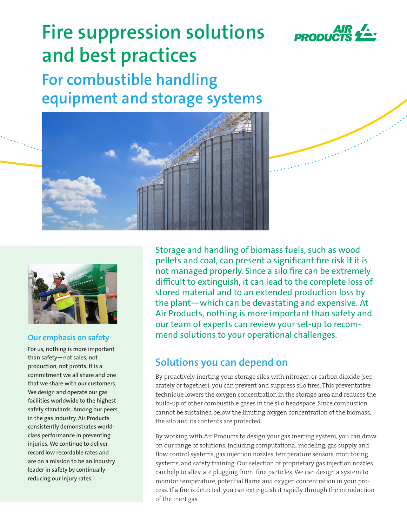

a strand and the state of the state of the state of the state of the state of the state of the state of the state of the state of the state of the state of the state of the state of the state of the state of the state of t

# **Fire suppression solutions and best practices**

**For combustible handling equipment and storage systems**





# **Our emphasis on safety**

For us, nothing is more important than safety—not sales, not production, not profits. It is a commitment we all share and one that we share with our customers. We design and operate our gas facilities worldwide to the highest safety standards. Among our peers in the gas industry, Air Products consistently demonstrates worldclass performance in preventing injuries. We continue to deliver record low recordable rates and are on a mission to be an industry leader in safety by continually reducing our injury rates.

Storage and handling of biomass fuels, such as wood pellets and coal, can present a significant fire risk if it is not managed properly. Since a silo fire can be extremely difficult to extinguish, it can lead to the complete loss of stored material and to an extended production loss by the plant—which can be devastating and expensive. At Air Products, nothing is more important than safety and our team of experts can review your set-up to recommend solutions to your operational challenges.

# **Solutions you can depend on**

By proactively inerting your storage silos with nitrogen or carbon dioxide (separately or together), you can prevent and suppress silo fires. This preventative technique lowers the oxygen concentration in the storage area and reduces the build-up of other combustible gases in the silo headspace. Since combustion cannot be sustained below the limiting oxygen concentration of the biomass, the silo and its contents are protected.

By working with Air Products to design your gas inerting system, you can draw on our range of solutions, including computational modeling, gas supply and flow control systems, gas injection nozzles, temperature sensors, monitoring systems, and safety training. Our selection of proprietary gas injection nozzles can help to alleviate plugging from fine particles. We can design a system to monitor temperature, potential flame and oxygen concentration in your process. If a fire is detected, you can extinguish it rapidly through the introduction of the inert gas.